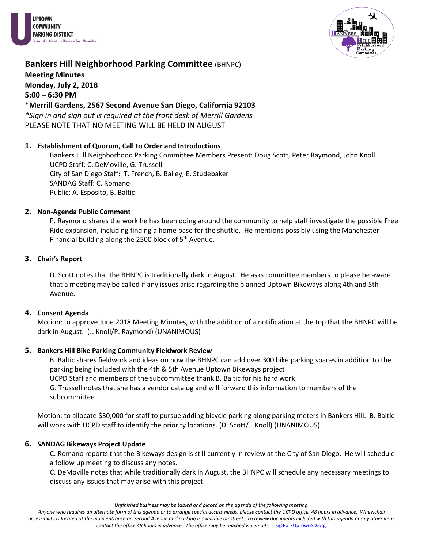



## **Bankers Hill Neighborhood Parking Committee (BHNPC) Meeting Minutes Monday, July 2, 2018 5:00 – 6:30 PM**

**\*Merrill Gardens, 2567 Second Avenue San Diego, California 92103**

*\*Sign in and sign out is required at the front desk of Merrill Gardens* PLEASE NOTE THAT NO MEETING WILL BE HELD IN AUGUST

### **1. Establishment of Quorum, Call to Order and Introductions**

Bankers Hill Neighborhood Parking Committee Members Present: Doug Scott, Peter Raymond, John Knoll UCPD Staff: C. DeMoville, G. Trussell City of San Diego Staff: T. French, B. Bailey, E. Studebaker SANDAG Staff: C. Romano Public: A. Esposito, B. Baltic

#### **2. Non-Agenda Public Comment**

P. Raymond shares the work he has been doing around the community to help staff investigate the possible Free Ride expansion, including finding a home base for the shuttle. He mentions possibly using the Manchester Financial building along the 2500 block of 5<sup>th</sup> Avenue.

### **3. Chair's Report**

D. Scott notes that the BHNPC is traditionally dark in August. He asks committee members to please be aware that a meeting may be called if any issues arise regarding the planned Uptown Bikeways along 4th and 5th Avenue.

#### **4. Consent Agenda**

Motion: to approve June 2018 Meeting Minutes, with the addition of a notification at the top that the BHNPC will be dark in August. (J. Knoll/P. Raymond) (UNANIMOUS)

## **5. Bankers Hill Bike Parking Community Fieldwork Review**

B. Baltic shares fieldwork and ideas on how the BHNPC can add over 300 bike parking spaces in addition to the parking being included with the 4th & 5th Avenue Uptown Bikeways project UCPD Staff and members of the subcommittee thank B. Baltic for his hard work G. Trussell notes that she has a vendor catalog and will forward this information to members of the subcommittee

Motion: to allocate \$30,000 for staff to pursue adding bicycle parking along parking meters in Bankers Hill. B. Baltic will work with UCPD staff to identify the priority locations. (D. Scott/J. Knoll) (UNANIMOUS)

## **6. SANDAG Bikeways Project Update**

C. Romano reports that the Bikeways design is still currently in review at the City of San Diego. He will schedule a follow up meeting to discuss any notes.

C. DeMoville notes that while traditionally dark in August, the BHNPC will schedule any necessary meetings to discuss any issues that may arise with this project.

*Unfinished business may be tabled and placed on the agenda of the following meeting.*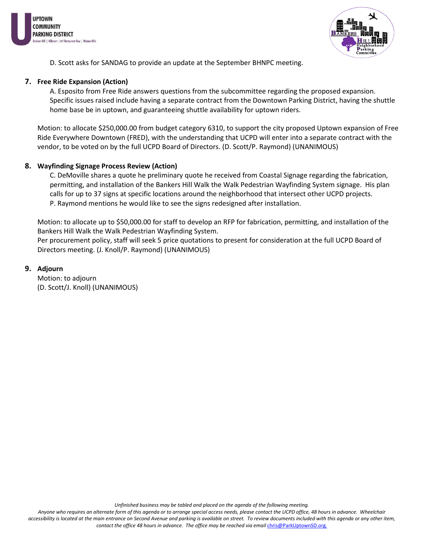



D. Scott asks for SANDAG to provide an update at the September BHNPC meeting.

#### **7. Free Ride Expansion (Action)**

A. Esposito from Free Ride answers questions from the subcommittee regarding the proposed expansion. Specific issues raised include having a separate contract from the Downtown Parking District, having the shuttle home base be in uptown, and guaranteeing shuttle availability for uptown riders.

Motion: to allocate \$250,000.00 from budget category 6310, to support the city proposed Uptown expansion of Free Ride Everywhere Downtown (FRED), with the understanding that UCPD will enter into a separate contract with the vendor, to be voted on by the full UCPD Board of Directors. (D. Scott/P. Raymond) (UNANIMOUS)

### **8. Wayfinding Signage Process Review (Action)**

C. DeMoville shares a quote he preliminary quote he received from Coastal Signage regarding the fabrication, permitting, and installation of the Bankers Hill Walk the Walk Pedestrian Wayfinding System signage. His plan calls for up to 37 signs at specific locations around the neighborhood that intersect other UCPD projects. P. Raymond mentions he would like to see the signs redesigned after installation.

Motion: to allocate up to \$50,000.00 for staff to develop an RFP for fabrication, permitting, and installation of the Bankers Hill Walk the Walk Pedestrian Wayfinding System.

Per procurement policy, staff will seek 5 price quotations to present for consideration at the full UCPD Board of Directors meeting. (J. Knoll/P. Raymond) (UNANIMOUS)

#### **9. Adjourn**

Motion: to adjourn (D. Scott/J. Knoll) (UNANIMOUS)

*Unfinished business may be tabled and placed on the agenda of the following meeting.*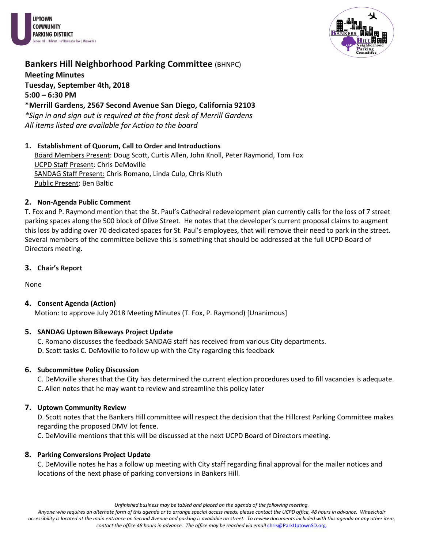



## **Bankers Hill Neighborhood Parking Committee (BHNPC) Meeting Minutes Tuesday, September 4th, 2018 5:00 – 6:30 PM \*Merrill Gardens, 2567 Second Avenue San Diego, California 92103**

*\*Sign in and sign out is required at the front desk of Merrill Gardens All items listed are available for Action to the board*

## **1. Establishment of Quorum, Call to Order and Introductions**

Board Members Present: Doug Scott, Curtis Allen, John Knoll, Peter Raymond, Tom Fox UCPD Staff Present: Chris DeMoville SANDAG Staff Present: Chris Romano, Linda Culp, Chris Kluth Public Present: Ben Baltic

## **2. Non-Agenda Public Comment**

T. Fox and P. Raymond mention that the St. Paul's Cathedral redevelopment plan currently calls for the loss of 7 street parking spaces along the 500 block of Olive Street. He notes that the developer's current proposal claims to augment this loss by adding over 70 dedicated spaces for St. Paul's employees, that will remove their need to park in the street. Several members of the committee believe this is something that should be addressed at the full UCPD Board of Directors meeting.

**3. Chair's Report** 

None

## **4. Consent Agenda (Action)**

Motion: to approve July 2018 Meeting Minutes (T. Fox, P. Raymond) [Unanimous]

## **5. SANDAG Uptown Bikeways Project Update**

- C. Romano discusses the feedback SANDAG staff has received from various City departments.
- D. Scott tasks C. DeMoville to follow up with the City regarding this feedback

## **6. Subcommittee Policy Discussion**

C. DeMoville shares that the City has determined the current election procedures used to fill vacancies is adequate. C. Allen notes that he may want to review and streamline this policy later

## **7. Uptown Community Review**

D. Scott notes that the Bankers Hill committee will respect the decision that the Hillcrest Parking Committee makes regarding the proposed DMV lot fence.

C. DeMoville mentions that this will be discussed at the next UCPD Board of Directors meeting.

## **8. Parking Conversions Project Update**

C. DeMoville notes he has a follow up meeting with City staff regarding final approval for the mailer notices and locations of the next phase of parking conversions in Bankers Hill.

*Unfinished business may be tabled and placed on the agenda of the following meeting.*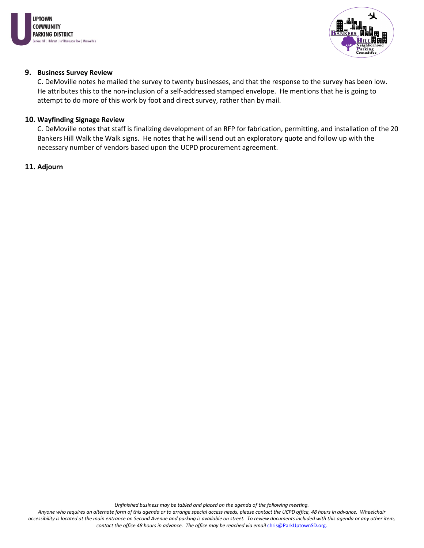



#### **9. Business Survey Review**

C. DeMoville notes he mailed the survey to twenty businesses, and that the response to the survey has been low. He attributes this to the non-inclusion of a self-addressed stamped envelope. He mentions that he is going to attempt to do more of this work by foot and direct survey, rather than by mail.

#### **10. Wayfinding Signage Review**

C. DeMoville notes that staff is finalizing development of an RFP for fabrication, permitting, and installation of the 20 Bankers Hill Walk the Walk signs. He notes that he will send out an exploratory quote and follow up with the necessary number of vendors based upon the UCPD procurement agreement.

#### **11. Adjourn**

*Unfinished business may be tabled and placed on the agenda of the following meeting.*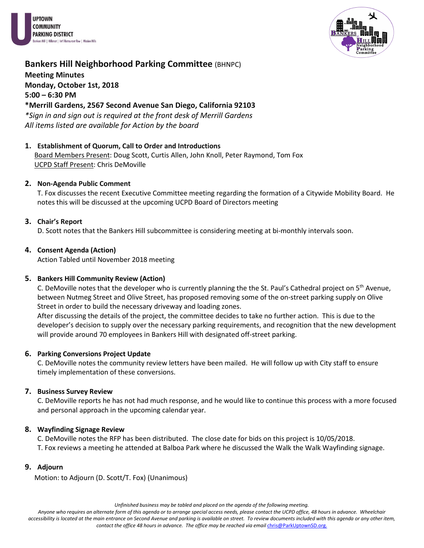



# **Bankers Hill Neighborhood Parking Committee (BHNPC) Meeting Minutes Monday, October 1st, 2018 5:00 – 6:30 PM**

## **\*Merrill Gardens, 2567 Second Avenue San Diego, California 92103**

*\*Sign in and sign out is required at the front desk of Merrill Gardens All items listed are available for Action by the board*

### **1. Establishment of Quorum, Call to Order and Introductions**

Board Members Present: Doug Scott, Curtis Allen, John Knoll, Peter Raymond, Tom Fox UCPD Staff Present: Chris DeMoville

### **2. Non-Agenda Public Comment**

T. Fox discusses the recent Executive Committee meeting regarding the formation of a Citywide Mobility Board. He notes this will be discussed at the upcoming UCPD Board of Directors meeting

### **3. Chair's Report**

D. Scott notes that the Bankers Hill subcommittee is considering meeting at bi-monthly intervals soon.

### **4. Consent Agenda (Action)**

Action Tabled until November 2018 meeting

#### **5. Bankers Hill Community Review (Action)**

C. DeMoville notes that the developer who is currently planning the the St. Paul's Cathedral project on  $5<sup>th</sup>$  Avenue, between Nutmeg Street and Olive Street, has proposed removing some of the on-street parking supply on Olive Street in order to build the necessary driveway and loading zones.

After discussing the details of the project, the committee decides to take no further action. This is due to the developer's decision to supply over the necessary parking requirements, and recognition that the new development will provide around 70 employees in Bankers Hill with designated off-street parking.

#### **6. Parking Conversions Project Update**

C. DeMoville notes the community review letters have been mailed. He will follow up with City staff to ensure timely implementation of these conversions.

#### **7. Business Survey Review**

C. DeMoville reports he has not had much response, and he would like to continue this process with a more focused and personal approach in the upcoming calendar year.

#### **8. Wayfinding Signage Review**

C. DeMoville notes the RFP has been distributed. The close date for bids on this project is 10/05/2018. T. Fox reviews a meeting he attended at Balboa Park where he discussed the Walk the Walk Wayfinding signage.

#### **9. Adjourn**

Motion: to Adjourn (D. Scott/T. Fox) (Unanimous)

*Unfinished business may be tabled and placed on the agenda of the following meeting.*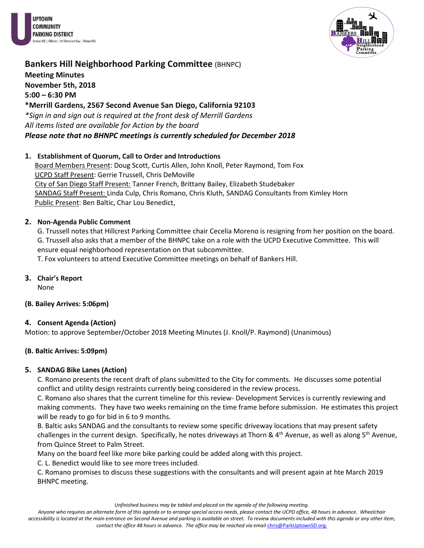



**Meeting Minutes November 5th, 2018**

**5:00 – 6:30 PM**

**\*Merrill Gardens, 2567 Second Avenue San Diego, California 92103**

*\*Sign in and sign out is required at the front desk of Merrill Gardens All items listed are available for Action by the board Please note that no BHNPC meetings is currently scheduled for December 2018*

## **1. Establishment of Quorum, Call to Order and Introductions**

Board Members Present: Doug Scott, Curtis Allen, John Knoll, Peter Raymond, Tom Fox UCPD Staff Present: Gerrie Trussell, Chris DeMoville City of San Diego Staff Present: Tanner French, Brittany Bailey, Elizabeth Studebaker SANDAG Staff Present: Linda Culp, Chris Romano, Chris Kluth, SANDAG Consultants from Kimley Horn Public Present: Ben Baltic, Char Lou Benedict,

## **2. Non-Agenda Public Comment**

G. Trussell notes that Hillcrest Parking Committee chair Cecelia Moreno is resigning from her position on the board. G. Trussell also asks that a member of the BHNPC take on a role with the UCPD Executive Committee. This will ensure equal neighborhood representation on that subcommittee.

T. Fox volunteers to attend Executive Committee meetings on behalf of Bankers Hill.

**3. Chair's Report** 

None

## **(B. Bailey Arrives: 5:06pm)**

## **4. Consent Agenda (Action)**

Motion: to approve September/October 2018 Meeting Minutes (J. Knoll/P. Raymond) (Unanimous)

## **(B. Baltic Arrives: 5:09pm)**

## **5. SANDAG Bike Lanes (Action)**

C. Romano presents the recent draft of plans submitted to the City for comments. He discusses some potential conflict and utility design restraints currently being considered in the review process.

C. Romano also shares that the current timeline for this review- Development Services is currently reviewing and making comments. They have two weeks remaining on the time frame before submission. He estimates this project will be ready to go for bid in 6 to 9 months.

B. Baltic asks SANDAG and the consultants to review some specific driveway locations that may present safety challenges in the current design. Specifically, he notes driveways at Thorn &  $4<sup>th</sup>$  Avenue, as well as along 5<sup>th</sup> Avenue, from Quince Street to Palm Street.

Many on the board feel like more bike parking could be added along with this project.

C. L. Benedict would like to see more trees included.

C. Romano promises to discuss these suggestions with the consultants and will present again at hte March 2019 BHNPC meeting.

*Unfinished business may be tabled and placed on the agenda of the following meeting.*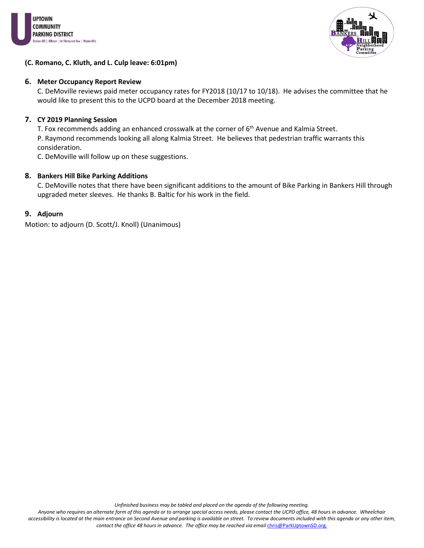



#### **(C. Romano, C. Kluth, and L. Culp leave: 6:01pm)**

#### **6. Meter Occupancy Report Review**

C. DeMoville reviews paid meter occupancy rates for FY2018 (10/17 to 10/18). He advises the committee that he would like to present this to the UCPD board at the December 2018 meeting.

#### **7. CY 2019 Planning Session**

T. Fox recommends adding an enhanced crosswalk at the corner of  $6<sup>th</sup>$  Avenue and Kalmia Street.

P. Raymond recommends looking all along Kalmia Street. He believes that pedestrian traffic warrants this consideration.

C. DeMoville will follow up on these suggestions.

### **8. Bankers Hill Bike Parking Additions**

C. DeMoville notes that there have been significant additions to the amount of Bike Parking in Bankers Hill through upgraded meter sleeves. He thanks B. Baltic for his work in the field.

#### **9. Adjourn**

Motion: to adjourn (D. Scott/J. Knoll) (Unanimous)

*Unfinished business may be tabled and placed on the agenda of the following meeting.*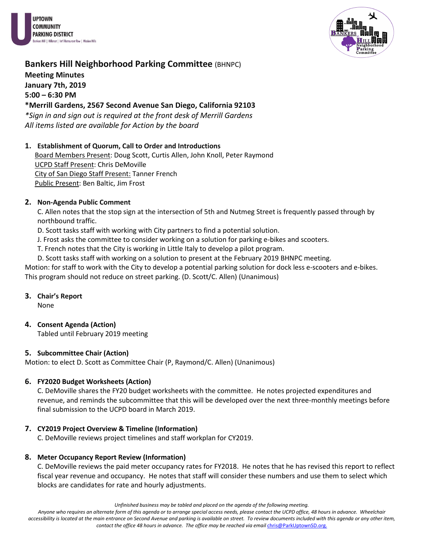



**Meeting Minutes January 7th, 2019 5:00 – 6:30 PM**

## **\*Merrill Gardens, 2567 Second Avenue San Diego, California 92103**

*\*Sign in and sign out is required at the front desk of Merrill Gardens All items listed are available for Action by the board*

## **1. Establishment of Quorum, Call to Order and Introductions**

Board Members Present: Doug Scott, Curtis Allen, John Knoll, Peter Raymond UCPD Staff Present: Chris DeMoville City of San Diego Staff Present: Tanner French Public Present: Ben Baltic, Jim Frost

## **2. Non-Agenda Public Comment**

C. Allen notes that the stop sign at the intersection of 5th and Nutmeg Street is frequently passed through by northbound traffic.

D. Scott tasks staff with working with City partners to find a potential solution.

J. Frost asks the committee to consider working on a solution for parking e-bikes and scooters.

T. French notes that the City is working in Little Italy to develop a pilot program.

D. Scott tasks staff with working on a solution to present at the February 2019 BHNPC meeting.

Motion: for staff to work with the City to develop a potential parking solution for dock less e-scooters and e-bikes. This program should not reduce on street parking. (D. Scott/C. Allen) (Unanimous)

#### **3. Chair's Report**

None

## **4. Consent Agenda (Action)**

Tabled until February 2019 meeting

## **5. Subcommittee Chair (Action)**

Motion: to elect D. Scott as Committee Chair (P, Raymond/C. Allen) (Unanimous)

## **6. FY2020 Budget Worksheets (Action)**

C. DeMoville shares the FY20 budget worksheets with the committee. He notes projected expenditures and revenue, and reminds the subcommittee that this will be developed over the next three-monthly meetings before final submission to the UCPD board in March 2019.

## **7. CY2019 Project Overview & Timeline (Information)**

C. DeMoville reviews project timelines and staff workplan for CY2019.

## **8. Meter Occupancy Report Review (Information)**

C. DeMoville reviews the paid meter occupancy rates for FY2018. He notes that he has revised this report to reflect fiscal year revenue and occupancy. He notes that staff will consider these numbers and use them to select which blocks are candidates for rate and hourly adjustments.

*Unfinished business may be tabled and placed on the agenda of the following meeting.*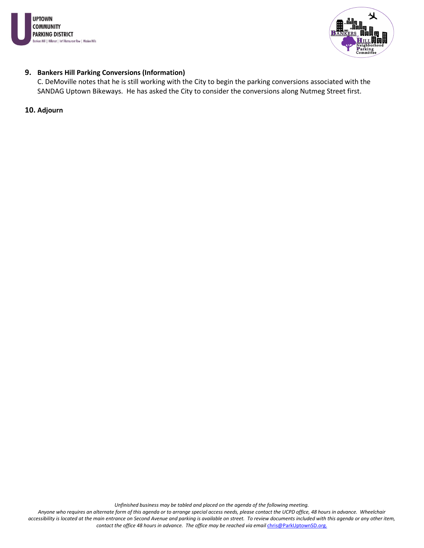



#### **9. Bankers Hill Parking Conversions (Information)**

C. DeMoville notes that he is still working with the City to begin the parking conversions associated with the SANDAG Uptown Bikeways. He has asked the City to consider the conversions along Nutmeg Street first.

#### **10. Adjourn**

*Unfinished business may be tabled and placed on the agenda of the following meeting.*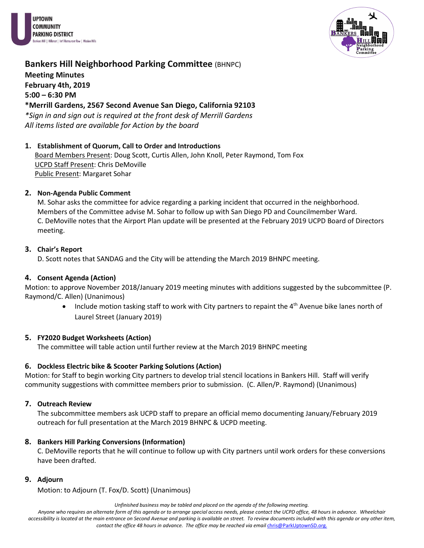



## **Bankers Hill Neighborhood Parking Committee (BHNPC) Meeting Minutes February 4th, 2019 5:00 – 6:30 PM**

## **\*Merrill Gardens, 2567 Second Avenue San Diego, California 92103**

*\*Sign in and sign out is required at the front desk of Merrill Gardens All items listed are available for Action by the board*

### **1. Establishment of Quorum, Call to Order and Introductions**

Board Members Present: Doug Scott, Curtis Allen, John Knoll, Peter Raymond, Tom Fox UCPD Staff Present: Chris DeMoville Public Present: Margaret Sohar

### **2. Non-Agenda Public Comment**

M. Sohar asks the committee for advice regarding a parking incident that occurred in the neighborhood. Members of the Committee advise M. Sohar to follow up with San Diego PD and Councilmember Ward. C. DeMoville notes that the Airport Plan update will be presented at the February 2019 UCPD Board of Directors meeting.

### **3. Chair's Report**

D. Scott notes that SANDAG and the City will be attending the March 2019 BHNPC meeting.

### **4. Consent Agenda (Action)**

Motion: to approve November 2018/January 2019 meeting minutes with additions suggested by the subcommittee (P. Raymond/C. Allen) (Unanimous)

• Include motion tasking staff to work with City partners to repaint the  $4<sup>th</sup>$  Avenue bike lanes north of Laurel Street (January 2019)

#### **5. FY2020 Budget Worksheets (Action)**

The committee will table action until further review at the March 2019 BHNPC meeting

## **6. Dockless Electric bike & Scooter Parking Solutions (Action)**

Motion: for Staff to begin working City partners to develop trial stencil locations in Bankers Hill. Staff will verify community suggestions with committee members prior to submission. (C. Allen/P. Raymond) (Unanimous)

## **7. Outreach Review**

The subcommittee members ask UCPD staff to prepare an official memo documenting January/February 2019 outreach for full presentation at the March 2019 BHNPC & UCPD meeting.

## **8. Bankers Hill Parking Conversions (Information)**

C. DeMoville reports that he will continue to follow up with City partners until work orders for these conversions have been drafted.

#### **9. Adjourn**

Motion: to Adjourn (T. Fox/D. Scott) (Unanimous)

*Unfinished business may be tabled and placed on the agenda of the following meeting.*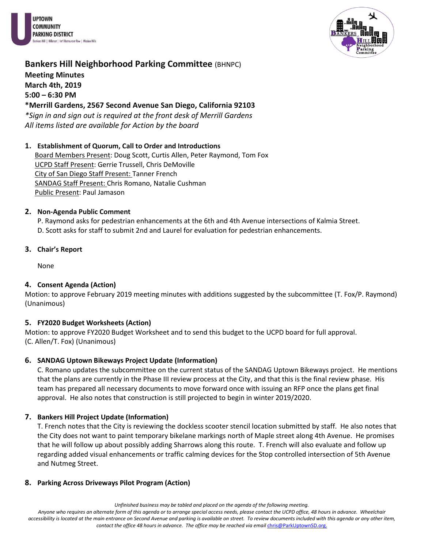



# **Bankers Hill Neighborhood Parking Committee (BHNPC) Meeting Minutes March 4th, 2019 5:00 – 6:30 PM \*Merrill Gardens, 2567 Second Avenue San Diego, California 92103**

*\*Sign in and sign out is required at the front desk of Merrill Gardens All items listed are available for Action by the board*

## **1. Establishment of Quorum, Call to Order and Introductions**

Board Members Present: Doug Scott, Curtis Allen, Peter Raymond, Tom Fox UCPD Staff Present: Gerrie Trussell, Chris DeMoville City of San Diego Staff Present: Tanner French SANDAG Staff Present: Chris Romano, Natalie Cushman Public Present: Paul Jamason

## **2. Non-Agenda Public Comment**

P. Raymond asks for pedestrian enhancements at the 6th and 4th Avenue intersections of Kalmia Street. D. Scott asks for staff to submit 2nd and Laurel for evaluation for pedestrian enhancements.

## **3. Chair's Report**

None

## **4. Consent Agenda (Action)**

Motion: to approve February 2019 meeting minutes with additions suggested by the subcommittee (T. Fox/P. Raymond) (Unanimous)

## **5. FY2020 Budget Worksheets (Action)**

Motion: to approve FY2020 Budget Worksheet and to send this budget to the UCPD board for full approval. (C. Allen/T. Fox) (Unanimous)

## **6. SANDAG Uptown Bikeways Project Update (Information)**

C. Romano updates the subcommittee on the current status of the SANDAG Uptown Bikeways project. He mentions that the plans are currently in the Phase III review process at the City, and that this is the final review phase. His team has prepared all necessary documents to move forward once with issuing an RFP once the plans get final approval. He also notes that construction is still projected to begin in winter 2019/2020.

## **7. Bankers Hill Project Update (Information)**

T. French notes that the City is reviewing the dockless scooter stencil location submitted by staff. He also notes that the City does not want to paint temporary bikelane markings north of Maple street along 4th Avenue. He promises that he will follow up about possibly adding Sharrows along this route. T. French will also evaluate and follow up regarding added visual enhancements or traffic calming devices for the Stop controlled intersection of 5th Avenue and Nutmeg Street.

## **8. Parking Across Driveways Pilot Program (Action)**

*Unfinished business may be tabled and placed on the agenda of the following meeting.*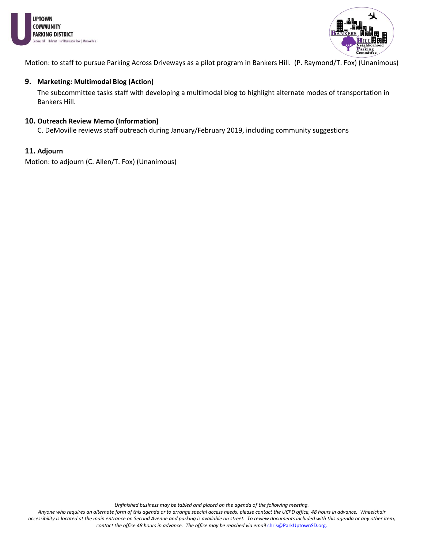



Motion: to staff to pursue Parking Across Driveways as a pilot program in Bankers Hill. (P. Raymond/T. Fox) (Unanimous)

#### **9. Marketing: Multimodal Blog (Action)**

The subcommittee tasks staff with developing a multimodal blog to highlight alternate modes of transportation in Bankers Hill.

#### **10. Outreach Review Memo (Information)**

C. DeMoville reviews staff outreach during January/February 2019, including community suggestions

#### **11. Adjourn**

Motion: to adjourn (C. Allen/T. Fox) (Unanimous)

*Unfinished business may be tabled and placed on the agenda of the following meeting.*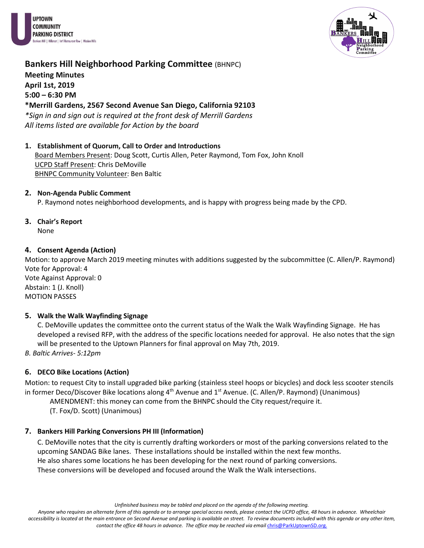



**Meeting Minutes April 1st, 2019 5:00 – 6:30 PM \*Merrill Gardens, 2567 Second Avenue San Diego, California 92103**

*\*Sign in and sign out is required at the front desk of Merrill Gardens All items listed are available for Action by the board*

**1. Establishment of Quorum, Call to Order and Introductions** Board Members Present: Doug Scott, Curtis Allen, Peter Raymond, Tom Fox, John Knoll UCPD Staff Present: Chris DeMoville

BHNPC Community Volunteer: Ben Baltic

## **2. Non-Agenda Public Comment**

P. Raymond notes neighborhood developments, and is happy with progress being made by the CPD.

**3. Chair's Report**  None

## **4. Consent Agenda (Action)**

Motion: to approve March 2019 meeting minutes with additions suggested by the subcommittee (C. Allen/P. Raymond) Vote for Approval: 4

Vote Against Approval: 0 Abstain: 1 (J. Knoll) MOTION PASSES

## **5. Walk the Walk Wayfinding Signage**

C. DeMoville updates the committee onto the current status of the Walk the Walk Wayfinding Signage. He has developed a revised RFP, with the address of the specific locations needed for approval. He also notes that the sign will be presented to the Uptown Planners for final approval on May 7th, 2019.

*B. Baltic Arrives- 5:12pm*

## **6. DECO Bike Locations (Action)**

Motion: to request City to install upgraded bike parking (stainless steel hoops or bicycles) and dock less scooter stencils in former Deco/Discover Bike locations along  $4<sup>th</sup>$  Avenue and  $1<sup>st</sup>$  Avenue. (C. Allen/P. Raymond) (Unanimous)

AMENDMENT: this money can come from the BHNPC should the City request/require it.

(T. Fox/D. Scott) (Unanimous)

## **7. Bankers Hill Parking Conversions PH III (Information)**

C. DeMoville notes that the city is currently drafting workorders or most of the parking conversions related to the upcoming SANDAG Bike lanes. These installations should be installed within the next few months. He also shares some locations he has been developing for the next round of parking conversions. These conversions will be developed and focused around the Walk the Walk intersections.

*Unfinished business may be tabled and placed on the agenda of the following meeting.*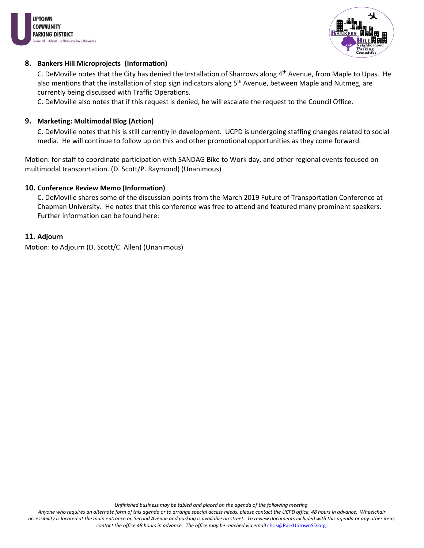



### **8. Bankers Hill Microprojects (Information)**

C. DeMoville notes that the City has denied the Installation of Sharrows along 4<sup>th</sup> Avenue, from Maple to Upas. He also mentions that the installation of stop sign indicators along 5<sup>th</sup> Avenue, between Maple and Nutmeg, are currently being discussed with Traffic Operations.

C. DeMoville also notes that if this request is denied, he will escalate the request to the Council Office.

#### **9. Marketing: Multimodal Blog (Action)**

C. DeMoville notes that his is still currently in development. UCPD is undergoing staffing changes related to social media. He will continue to follow up on this and other promotional opportunities as they come forward.

Motion: for staff to coordinate participation with SANDAG Bike to Work day, and other regional events focused on multimodal transportation. (D. Scott/P. Raymond) (Unanimous)

#### **10. Conference Review Memo (Information)**

C. DeMoville shares some of the discussion points from the March 2019 Future of Transportation Conference at Chapman University. He notes that this conference was free to attend and featured many prominent speakers. Further information can be found here:

#### **11. Adjourn**

Motion: to Adjourn (D. Scott/C. Allen) (Unanimous)

*Unfinished business may be tabled and placed on the agenda of the following meeting.*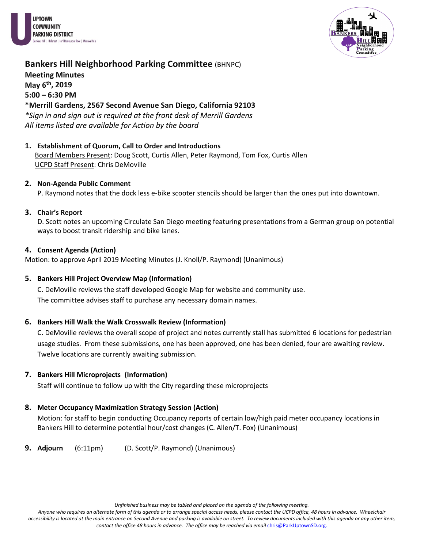



**Meeting Minutes May 6th, 2019 5:00 – 6:30 PM \*Merrill Gardens, 2567 Second Avenue San Diego, California 92103**

*\*Sign in and sign out is required at the front desk of Merrill Gardens All items listed are available for Action by the board*

**1. Establishment of Quorum, Call to Order and Introductions** Board Members Present: Doug Scott, Curtis Allen, Peter Raymond, Tom Fox, Curtis Allen UCPD Staff Present: Chris DeMoville

#### **2. Non-Agenda Public Comment**

P. Raymond notes that the dock less e-bike scooter stencils should be larger than the ones put into downtown.

#### **3. Chair's Report**

D. Scott notes an upcoming Circulate San Diego meeting featuring presentations from a German group on potential ways to boost transit ridership and bike lanes.

#### **4. Consent Agenda (Action)**

Motion: to approve April 2019 Meeting Minutes (J. Knoll/P. Raymond) (Unanimous)

## **5. Bankers Hill Project Overview Map (Information)**

C. DeMoville reviews the staff developed Google Map for website and community use. The committee advises staff to purchase any necessary domain names.

## **6. Bankers Hill Walk the Walk Crosswalk Review (Information)**

C. DeMoville reviews the overall scope of project and notes currently stall has submitted 6 locations for pedestrian usage studies. From these submissions, one has been approved, one has been denied, four are awaiting review. Twelve locations are currently awaiting submission.

## **7. Bankers Hill Microprojects (Information)**

Staff will continue to follow up with the City regarding these microprojects

## **8. Meter Occupancy Maximization Strategy Session (Action)**

Motion: for staff to begin conducting Occupancy reports of certain low/high paid meter occupancy locations in Bankers Hill to determine potential hour/cost changes (C. Allen/T. Fox) (Unanimous)

**9. Adjourn** (6:11pm) (D. Scott/P. Raymond) (Unanimous)

*Unfinished business may be tabled and placed on the agenda of the following meeting.*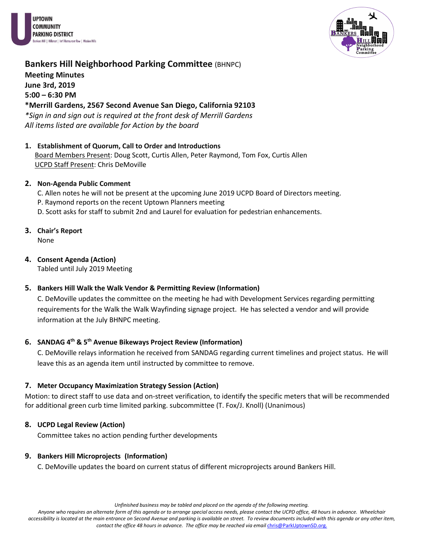



**Meeting Minutes June 3rd, 2019 5:00 – 6:30 PM**

## **\*Merrill Gardens, 2567 Second Avenue San Diego, California 92103**

*\*Sign in and sign out is required at the front desk of Merrill Gardens All items listed are available for Action by the board*

**1. Establishment of Quorum, Call to Order and Introductions** Board Members Present: Doug Scott, Curtis Allen, Peter Raymond, Tom Fox, Curtis Allen UCPD Staff Present: Chris DeMoville

### **2. Non-Agenda Public Comment**

- C. Allen notes he will not be present at the upcoming June 2019 UCPD Board of Directors meeting.
- P. Raymond reports on the recent Uptown Planners meeting
- D. Scott asks for staff to submit 2nd and Laurel for evaluation for pedestrian enhancements.
- **3. Chair's Report**

None

#### **4. Consent Agenda (Action)**

Tabled until July 2019 Meeting

## **5. Bankers Hill Walk the Walk Vendor & Permitting Review (Information)**

C. DeMoville updates the committee on the meeting he had with Development Services regarding permitting requirements for the Walk the Walk Wayfinding signage project. He has selected a vendor and will provide information at the July BHNPC meeting.

## **6. SANDAG 4th & 5th Avenue Bikeways Project Review (Information)**

C. DeMoville relays information he received from SANDAG regarding current timelines and project status. He will leave this as an agenda item until instructed by committee to remove.

#### **7. Meter Occupancy Maximization Strategy Session (Action)**

Motion: to direct staff to use data and on-street verification, to identify the specific meters that will be recommended for additional green curb time limited parking. subcommittee (T. Fox/J. Knoll) (Unanimous)

## **8. UCPD Legal Review (Action)**

Committee takes no action pending further developments

## **9. Bankers Hill Microprojects (Information)**

C. DeMoville updates the board on current status of different microprojects around Bankers Hill.

*Unfinished business may be tabled and placed on the agenda of the following meeting.*